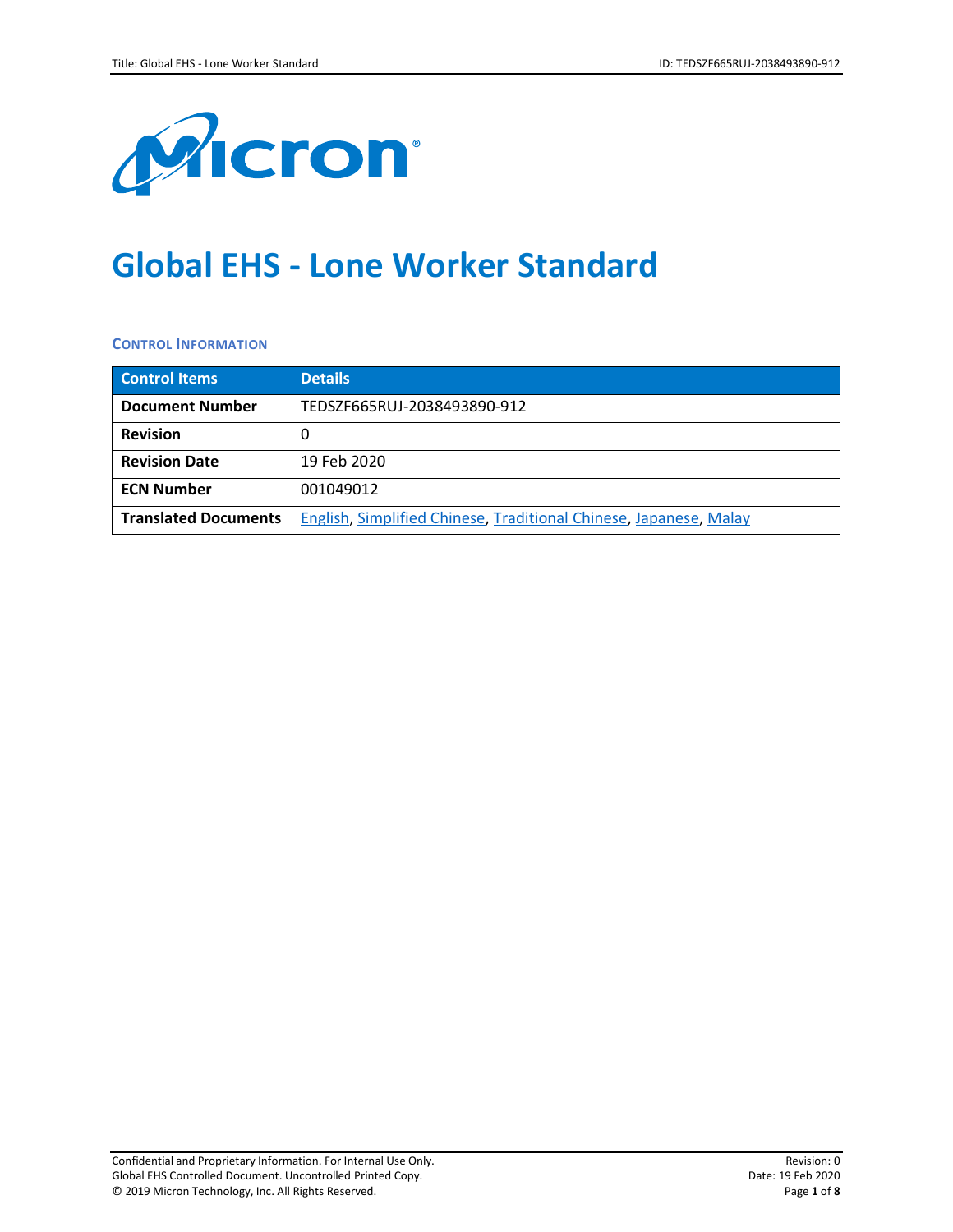

# **Global EHS - Lone Worker Standard**

#### **CONTROL INFORMATION**

| <b>Control Items</b>        | <b>Details</b>                                                    |
|-----------------------------|-------------------------------------------------------------------|
| <b>Document Number</b>      | TEDSZF665RUJ-2038493890-912                                       |
| <b>Revision</b>             |                                                                   |
| <b>Revision Date</b>        | 19 Feb 2020                                                       |
| <b>ECN Number</b>           | 001049012                                                         |
| <b>Translated Documents</b> | English, Simplified Chinese, Traditional Chinese, Japanese, Malay |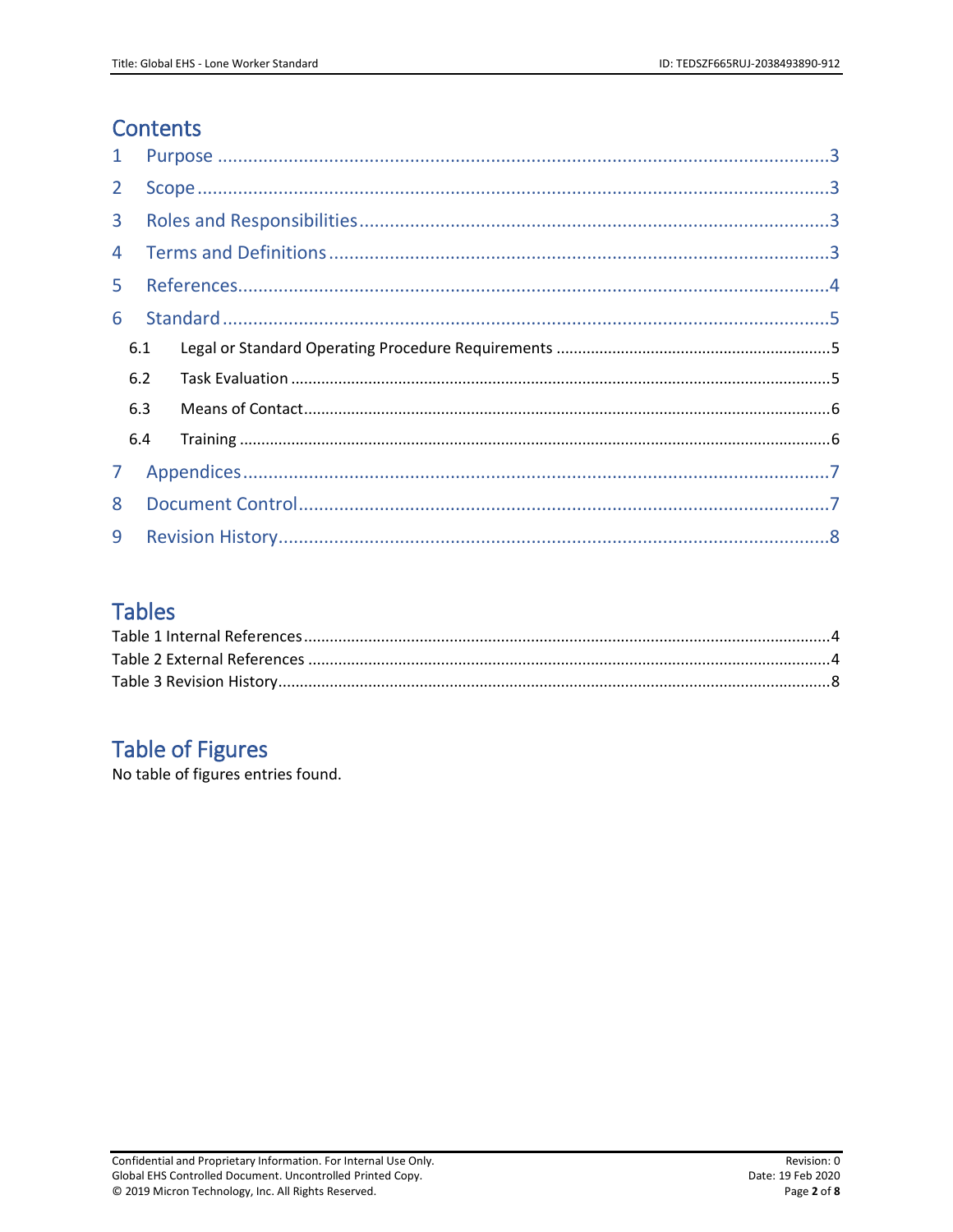# **Contents**

| $\mathbf{1}$   |     |  |  |  |
|----------------|-----|--|--|--|
| 2 <sup>1</sup> |     |  |  |  |
| $\mathbf{3}$   |     |  |  |  |
| 4              |     |  |  |  |
| 5              |     |  |  |  |
| 6              |     |  |  |  |
|                | 6.1 |  |  |  |
|                | 6.2 |  |  |  |
|                | 6.3 |  |  |  |
|                | 6.4 |  |  |  |
| 7 <sup>1</sup> |     |  |  |  |
| 8              |     |  |  |  |
| 9              |     |  |  |  |

# **Tables**

# **Table of Figures**

No table of figures entries found.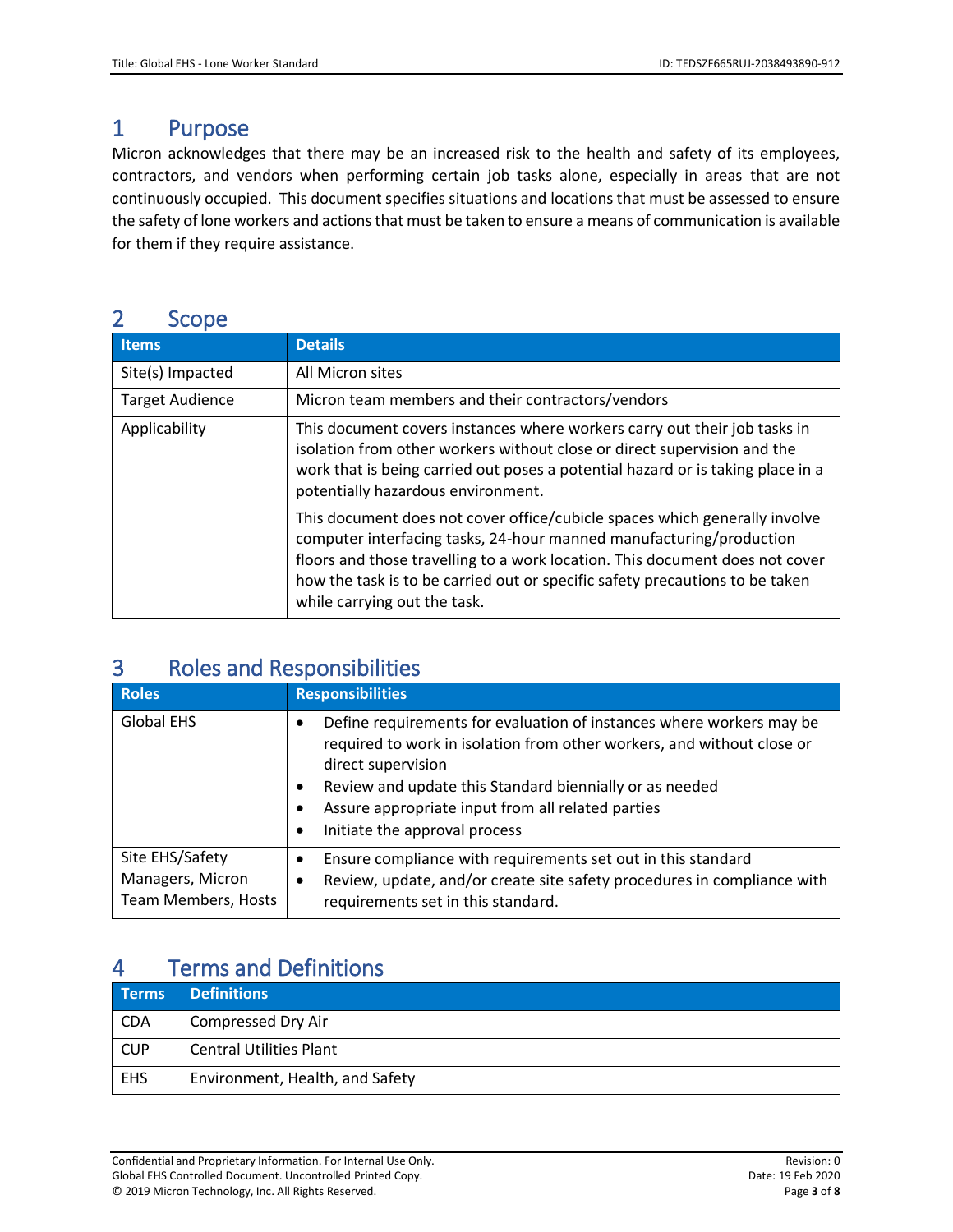### <span id="page-2-0"></span>1 Purpose

Micron acknowledges that there may be an increased risk to the health and safety of its employees, contractors, and vendors when performing certain job tasks alone, especially in areas that are not continuously occupied. This document specifies situations and locations that must be assessed to ensure the safety of lone workers and actions that must be taken to ensure a means of communication is available for them if they require assistance.

### <span id="page-2-1"></span>2 Scope

| <b>Items</b>           | <b>Details</b>                                                                                                                                                                                                                                                                                                                                    |
|------------------------|---------------------------------------------------------------------------------------------------------------------------------------------------------------------------------------------------------------------------------------------------------------------------------------------------------------------------------------------------|
| Site(s) Impacted       | All Micron sites                                                                                                                                                                                                                                                                                                                                  |
| <b>Target Audience</b> | Micron team members and their contractors/vendors                                                                                                                                                                                                                                                                                                 |
| Applicability          | This document covers instances where workers carry out their job tasks in<br>isolation from other workers without close or direct supervision and the<br>work that is being carried out poses a potential hazard or is taking place in a<br>potentially hazardous environment.                                                                    |
|                        | This document does not cover office/cubicle spaces which generally involve<br>computer interfacing tasks, 24-hour manned manufacturing/production<br>floors and those travelling to a work location. This document does not cover<br>how the task is to be carried out or specific safety precautions to be taken<br>while carrying out the task. |

# <span id="page-2-2"></span>3 Roles and Responsibilities

| <b>Roles</b>                                               | <b>Responsibilities</b>                                                                                                                                                                                                                                                                                                         |
|------------------------------------------------------------|---------------------------------------------------------------------------------------------------------------------------------------------------------------------------------------------------------------------------------------------------------------------------------------------------------------------------------|
| Global EHS                                                 | Define requirements for evaluation of instances where workers may be<br>required to work in isolation from other workers, and without close or<br>direct supervision<br>Review and update this Standard biennially or as needed<br>٠<br>Assure appropriate input from all related parties<br>٠<br>Initiate the approval process |
| Site EHS/Safety<br>Managers, Micron<br>Team Members, Hosts | Ensure compliance with requirements set out in this standard<br>٠<br>Review, update, and/or create site safety procedures in compliance with<br>requirements set in this standard.                                                                                                                                              |

# <span id="page-2-3"></span>4 Terms and Definitions

| <b>Terms</b> | <b>Definitions</b>              |
|--------------|---------------------------------|
| <b>CDA</b>   | <b>Compressed Dry Air</b>       |
| <b>CUP</b>   | <b>Central Utilities Plant</b>  |
| EHS          | Environment, Health, and Safety |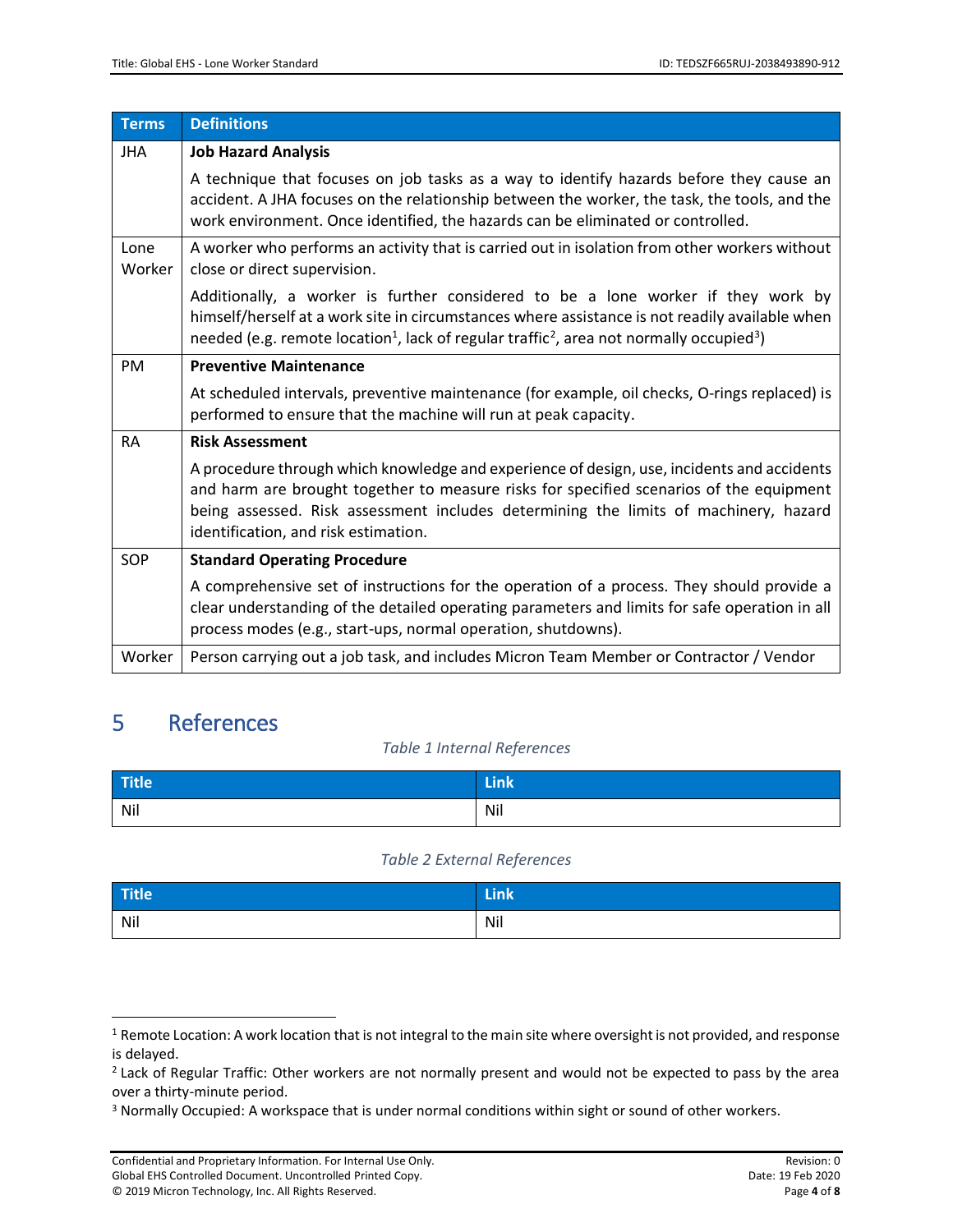| <b>Terms</b>   | <b>Definitions</b>                                                                                                                                                                                                                                                                                                    |
|----------------|-----------------------------------------------------------------------------------------------------------------------------------------------------------------------------------------------------------------------------------------------------------------------------------------------------------------------|
| <b>JHA</b>     | <b>Job Hazard Analysis</b>                                                                                                                                                                                                                                                                                            |
|                | A technique that focuses on job tasks as a way to identify hazards before they cause an<br>accident. A JHA focuses on the relationship between the worker, the task, the tools, and the<br>work environment. Once identified, the hazards can be eliminated or controlled.                                            |
| Lone<br>Worker | A worker who performs an activity that is carried out in isolation from other workers without<br>close or direct supervision.                                                                                                                                                                                         |
|                | Additionally, a worker is further considered to be a lone worker if they work by<br>himself/herself at a work site in circumstances where assistance is not readily available when<br>needed (e.g. remote location <sup>1</sup> , lack of regular traffic <sup>2</sup> , area not normally occupied <sup>3</sup> )    |
| <b>PM</b>      | <b>Preventive Maintenance</b>                                                                                                                                                                                                                                                                                         |
|                | At scheduled intervals, preventive maintenance (for example, oil checks, O-rings replaced) is<br>performed to ensure that the machine will run at peak capacity.                                                                                                                                                      |
| <b>RA</b>      | <b>Risk Assessment</b>                                                                                                                                                                                                                                                                                                |
|                | A procedure through which knowledge and experience of design, use, incidents and accidents<br>and harm are brought together to measure risks for specified scenarios of the equipment<br>being assessed. Risk assessment includes determining the limits of machinery, hazard<br>identification, and risk estimation. |
| <b>SOP</b>     | <b>Standard Operating Procedure</b>                                                                                                                                                                                                                                                                                   |
|                | A comprehensive set of instructions for the operation of a process. They should provide a<br>clear understanding of the detailed operating parameters and limits for safe operation in all<br>process modes (e.g., start-ups, normal operation, shutdowns).                                                           |
| Worker         | Person carrying out a job task, and includes Micron Team Member or Contractor / Vendor                                                                                                                                                                                                                                |

# <span id="page-3-1"></span><span id="page-3-0"></span>5 References

l

#### *Table 1 Internal References*

| Title | <b>TELL</b> |
|-------|-------------|
| Nil   | Nil         |

#### *Table 2 External References*

<span id="page-3-2"></span>

| Title | <b>TELLE</b> |
|-------|--------------|
| Nil   | Nil          |

 $1$  Remote Location: A work location that is not integral to the main site where oversight is not provided, and response is delayed.

<sup>&</sup>lt;sup>2</sup> Lack of Regular Traffic: Other workers are not normally present and would not be expected to pass by the area over a thirty-minute period.

<sup>&</sup>lt;sup>3</sup> Normally Occupied: A workspace that is under normal conditions within sight or sound of other workers.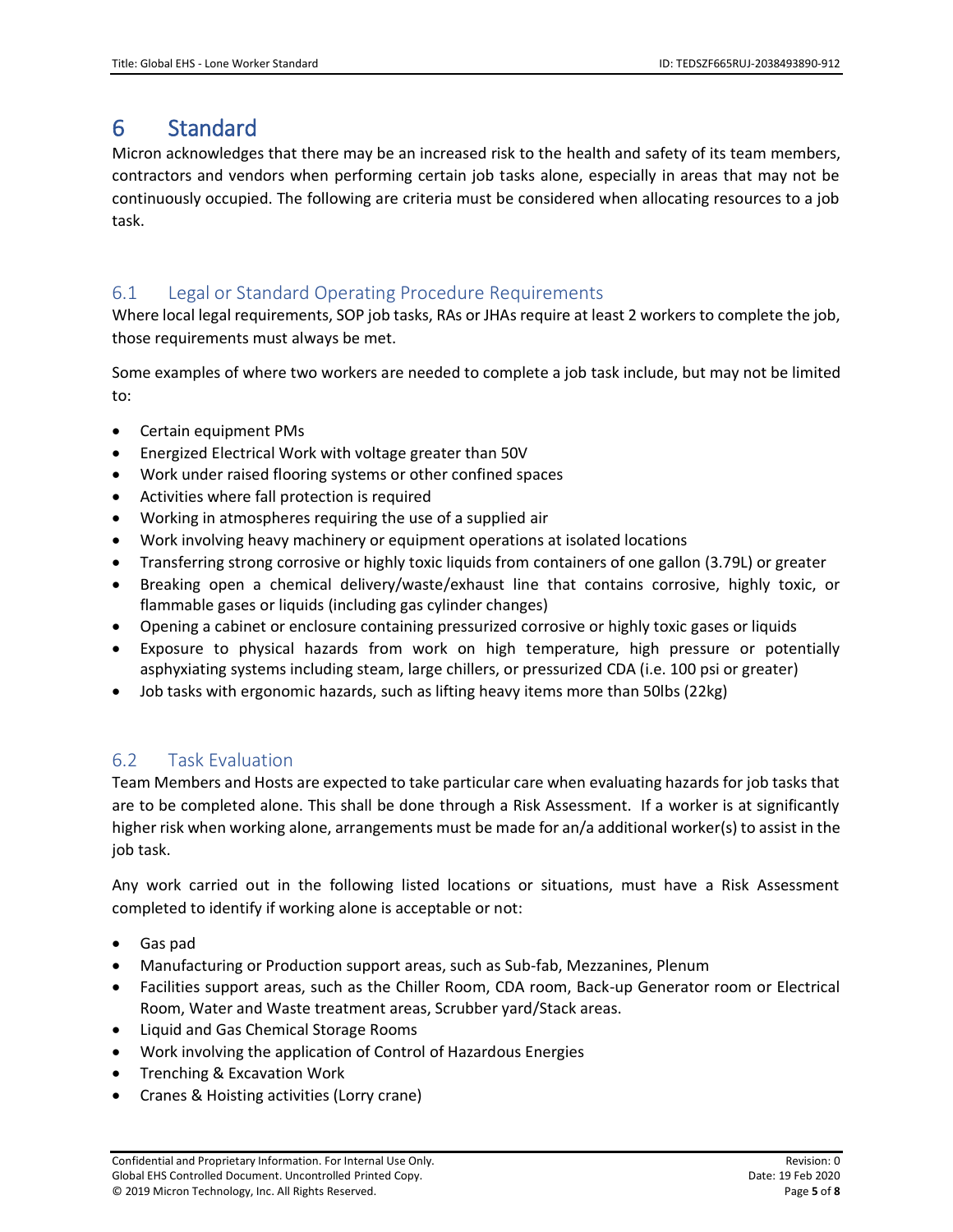# <span id="page-4-0"></span>6 Standard

Micron acknowledges that there may be an increased risk to the health and safety of its team members, contractors and vendors when performing certain job tasks alone, especially in areas that may not be continuously occupied. The following are criteria must be considered when allocating resources to a job task.

### <span id="page-4-1"></span>6.1 Legal or Standard Operating Procedure Requirements

Where local legal requirements, SOP job tasks, RAs or JHAs require at least 2 workers to complete the job, those requirements must always be met.

Some examples of where two workers are needed to complete a job task include, but may not be limited to:

- Certain equipment PMs
- Energized Electrical Work with voltage greater than 50V
- Work under raised flooring systems or other confined spaces
- Activities where fall protection is required
- Working in atmospheres requiring the use of a supplied air
- Work involving heavy machinery or equipment operations at isolated locations
- Transferring strong corrosive or highly toxic liquids from containers of one gallon (3.79L) or greater
- Breaking open a chemical delivery/waste/exhaust line that contains corrosive, highly toxic, or flammable gases or liquids (including gas cylinder changes)
- Opening a cabinet or enclosure containing pressurized corrosive or highly toxic gases or liquids
- Exposure to physical hazards from work on high temperature, high pressure or potentially asphyxiating systems including steam, large chillers, or pressurized CDA (i.e. 100 psi or greater)
- Job tasks with ergonomic hazards, such as lifting heavy items more than 50lbs (22kg)

#### <span id="page-4-2"></span>6.2 Task Evaluation

Team Members and Hosts are expected to take particular care when evaluating hazards for job tasks that are to be completed alone. This shall be done through a Risk Assessment. If a worker is at significantly higher risk when working alone, arrangements must be made for an/a additional worker(s) to assist in the job task.

Any work carried out in the following listed locations or situations, must have a Risk Assessment completed to identify if working alone is acceptable or not:

- Gas pad
- Manufacturing or Production support areas, such as Sub-fab, Mezzanines, Plenum
- Facilities support areas, such as the Chiller Room, CDA room, Back-up Generator room or Electrical Room, Water and Waste treatment areas, Scrubber yard/Stack areas.
- Liquid and Gas Chemical Storage Rooms
- Work involving the application of Control of Hazardous Energies
- Trenching & Excavation Work
- Cranes & Hoisting activities (Lorry crane)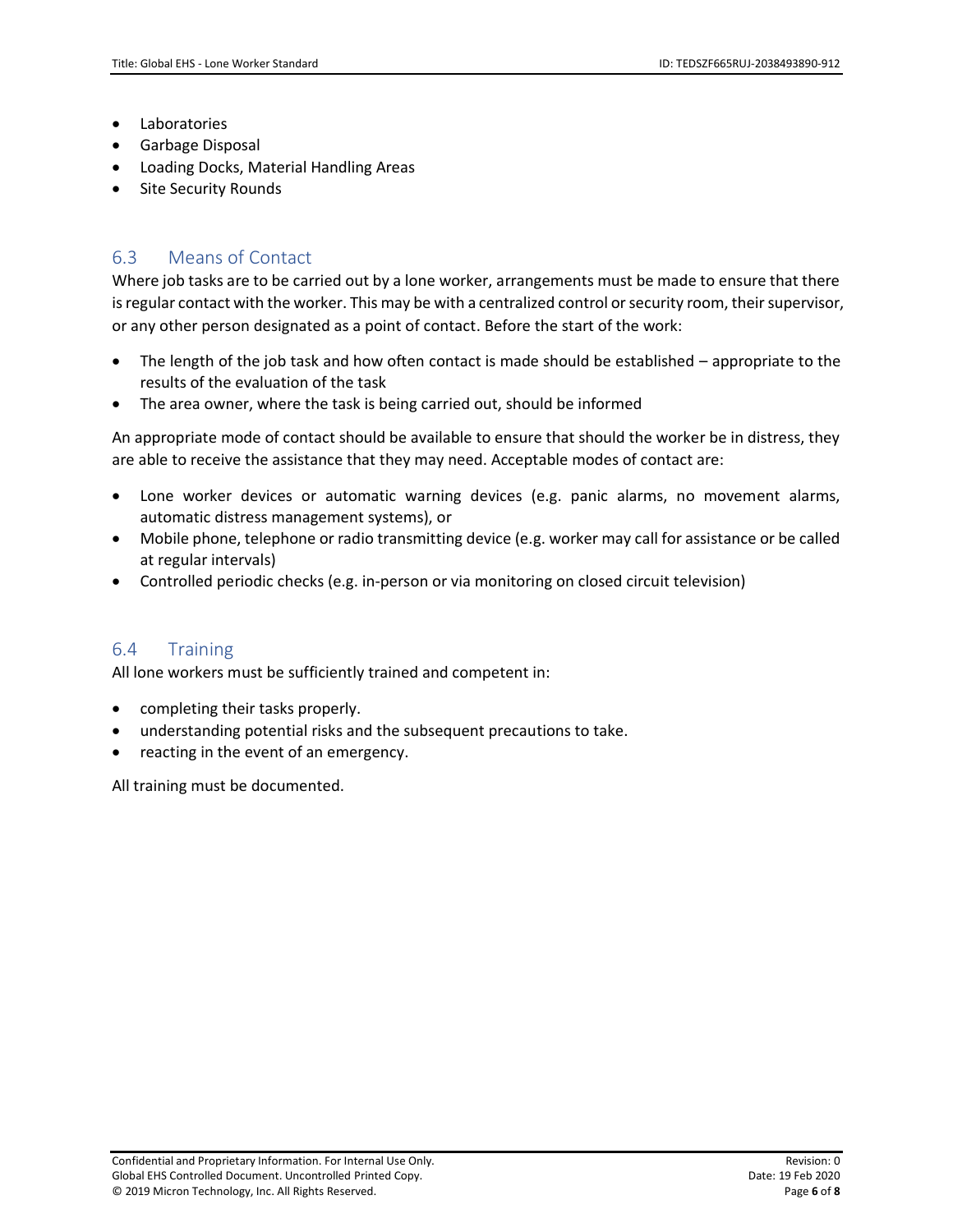- Laboratories
- Garbage Disposal
- Loading Docks, Material Handling Areas
- **Site Security Rounds**

#### <span id="page-5-0"></span>6.3 Means of Contact

Where job tasks are to be carried out by a lone worker, arrangements must be made to ensure that there is regular contact with the worker. This may be with a centralized control or security room, their supervisor, or any other person designated as a point of contact. Before the start of the work:

- The length of the job task and how often contact is made should be established appropriate to the results of the evaluation of the task
- The area owner, where the task is being carried out, should be informed

An appropriate mode of contact should be available to ensure that should the worker be in distress, they are able to receive the assistance that they may need. Acceptable modes of contact are:

- Lone worker devices or automatic warning devices (e.g. panic alarms, no movement alarms, automatic distress management systems), or
- Mobile phone, telephone or radio transmitting device (e.g. worker may call for assistance or be called at regular intervals)
- Controlled periodic checks (e.g. in-person or via monitoring on closed circuit television)

#### <span id="page-5-1"></span>6.4 Training

All lone workers must be sufficiently trained and competent in:

- completing their tasks properly.
- understanding potential risks and the subsequent precautions to take.
- reacting in the event of an emergency.

All training must be documented.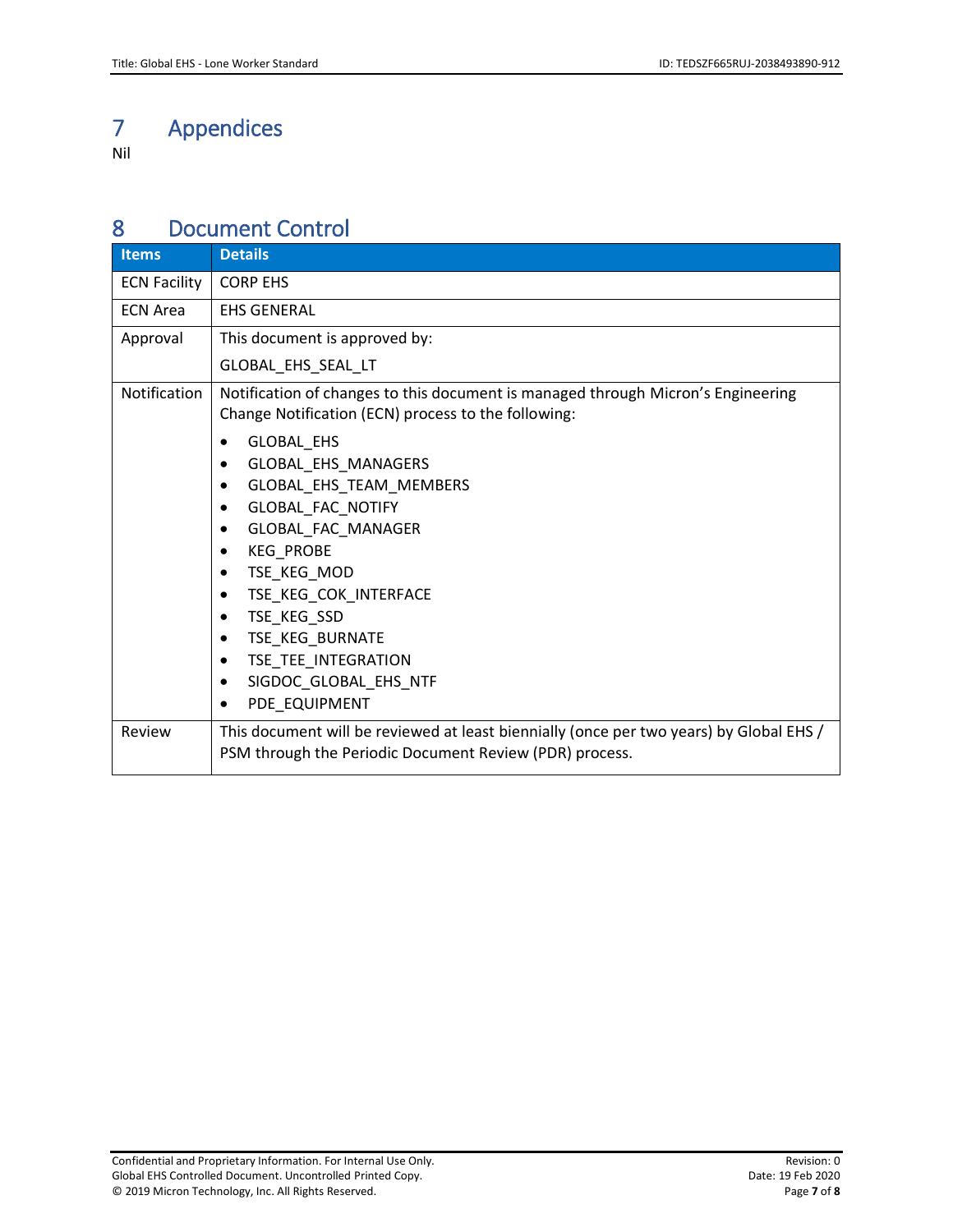# <span id="page-6-0"></span>7 Appendices

Nil

### <span id="page-6-1"></span>8 Document Control

| <b>Items</b>        | <b>Details</b>                                                                                                                                                                                  |
|---------------------|-------------------------------------------------------------------------------------------------------------------------------------------------------------------------------------------------|
| <b>ECN Facility</b> | <b>CORP EHS</b>                                                                                                                                                                                 |
| <b>ECN Area</b>     | <b>EHS GENERAL</b>                                                                                                                                                                              |
| Approval            | This document is approved by:                                                                                                                                                                   |
|                     | GLOBAL_EHS_SEAL_LT                                                                                                                                                                              |
| Notification        | Notification of changes to this document is managed through Micron's Engineering<br>Change Notification (ECN) process to the following:                                                         |
|                     | GLOBAL_EHS<br>GLOBAL_EHS_MANAGERS<br>٠<br>GLOBAL_EHS_TEAM_MEMBERS<br>$\bullet$<br><b>GLOBAL FAC NOTIFY</b><br>٠<br>GLOBAL FAC MANAGER<br>$\bullet$<br><b>KEG PROBE</b><br>٠<br>TSE_KEG_MOD<br>٠ |
|                     | TSE_KEG_COK_INTERFACE<br>$\bullet$<br>TSE_KEG_SSD<br>$\bullet$<br>TSE KEG BURNATE<br>٠<br>TSE_TEE_INTEGRATION<br>٠<br>SIGDOC_GLOBAL_EHS_NTF<br>٠<br>PDE_EQUIPMENT                               |
| Review              | This document will be reviewed at least biennially (once per two years) by Global EHS /<br>PSM through the Periodic Document Review (PDR) process.                                              |